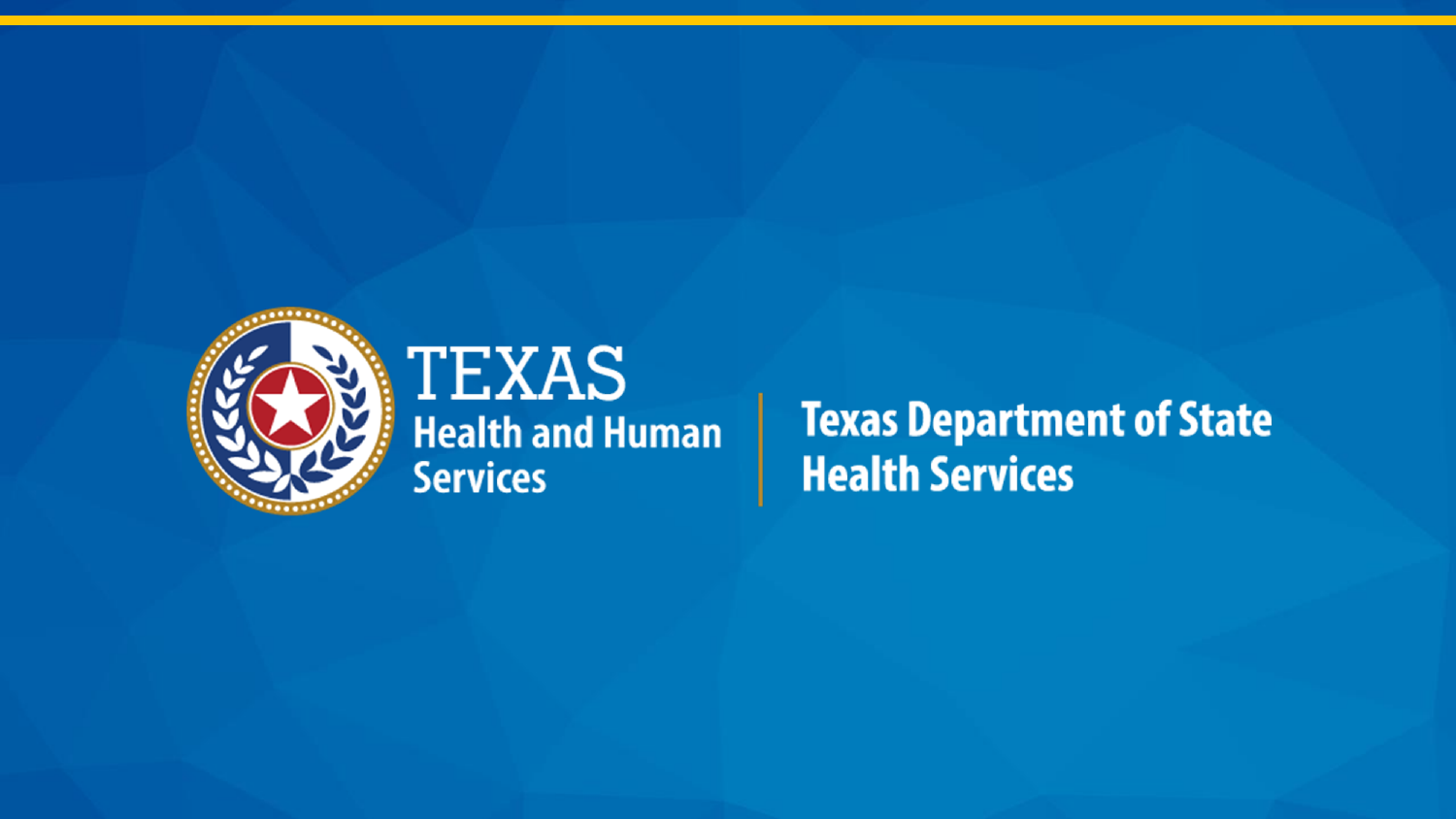

### **TEXAS Health and Human Services**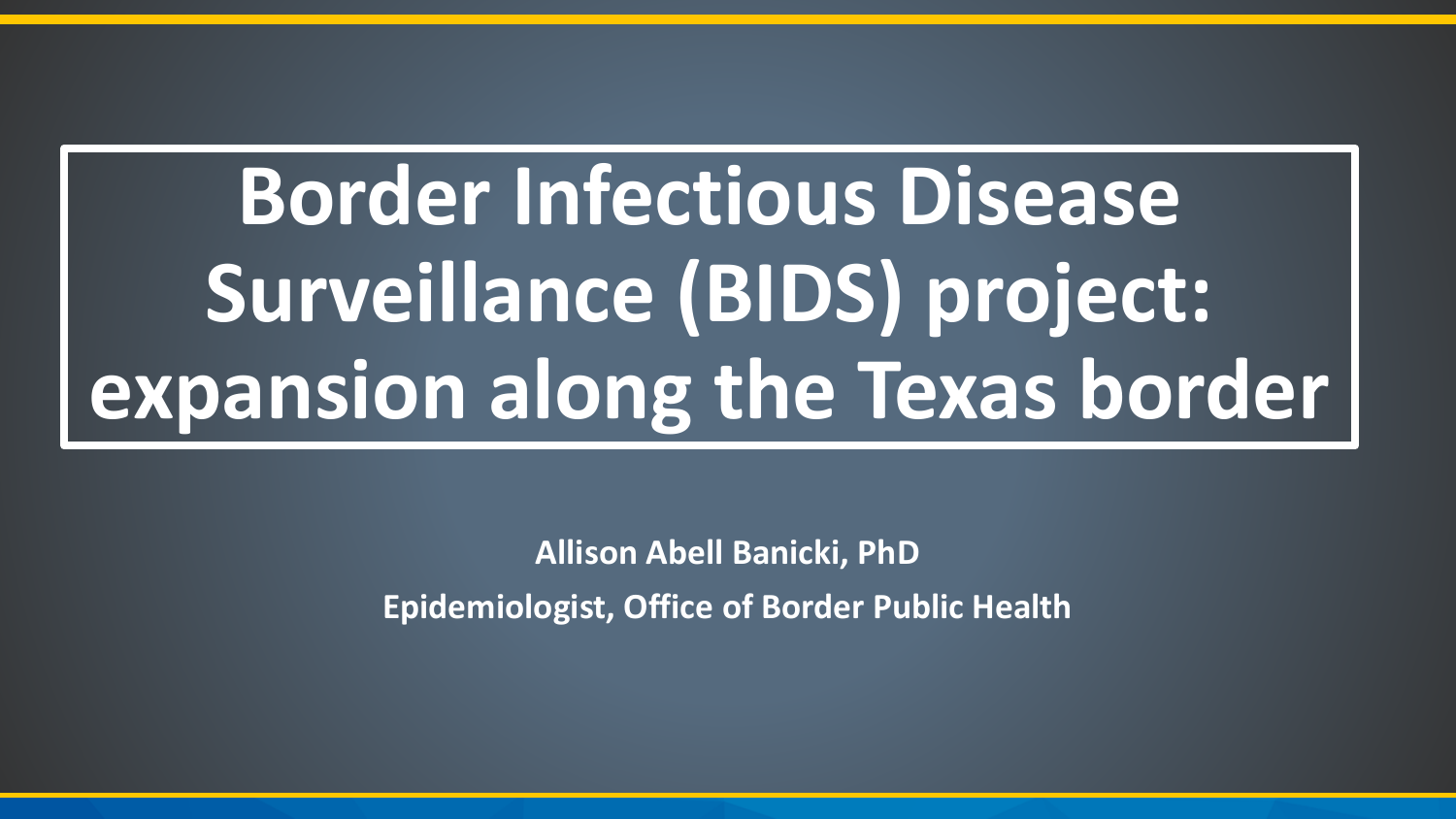# **Border Infectious Disease Surveillance (BIDS) project: expansion along the Texas border**

**Allison Abell Banicki, PhD Epidemiologist, Office of Border Public Health**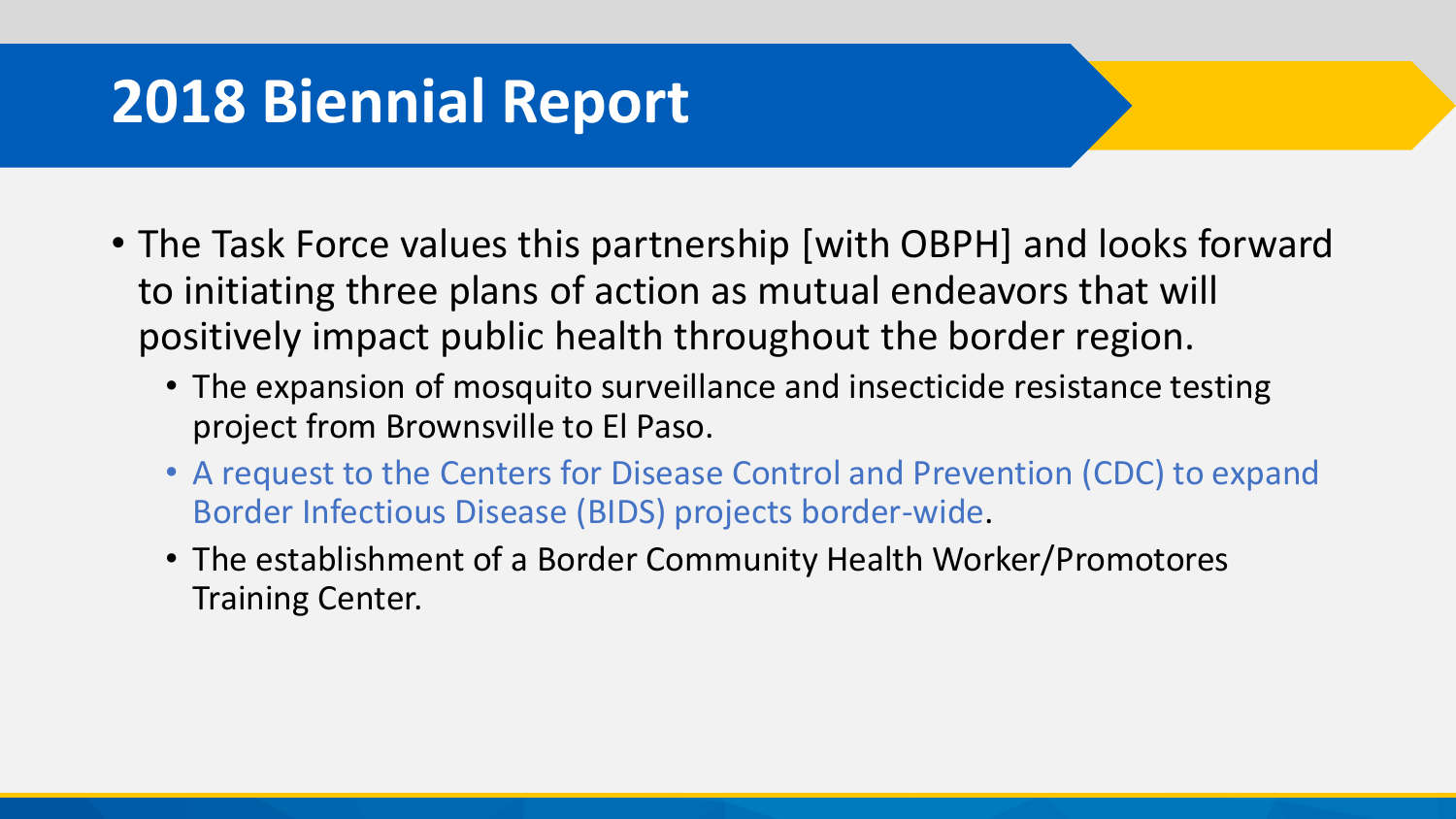## **2018 Biennial Report**

- The Task Force values this partnership [with OBPH] and looks forward to initiating three plans of action as mutual endeavors that will positively impact public health throughout the border region.
	- The expansion of mosquito surveillance and insecticide resistance testing project from Brownsville to El Paso.
	- A request to the Centers for Disease Control and Prevention (CDC) to expand Border Infectious Disease (BIDS) projects border-wide.
	- The establishment of a Border Community Health Worker/Promotores Training Center.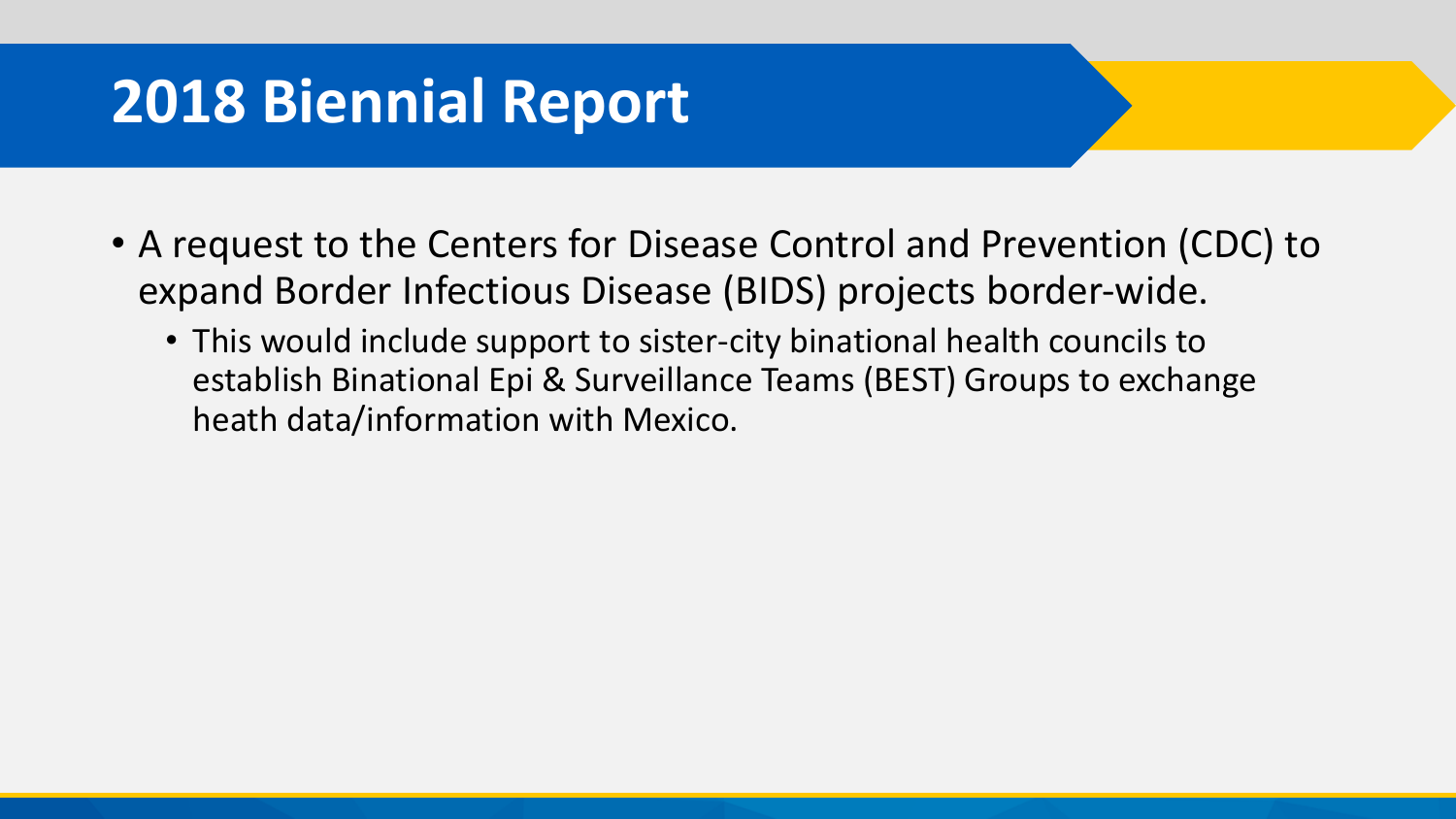## **2018 Biennial Report**

- A request to the Centers for Disease Control and Prevention (CDC) to expand Border Infectious Disease (BIDS) projects border-wide.
	- This would include support to sister-city binational health councils to establish Binational Epi & Surveillance Teams (BEST) Groups to exchange heath data/information with Mexico.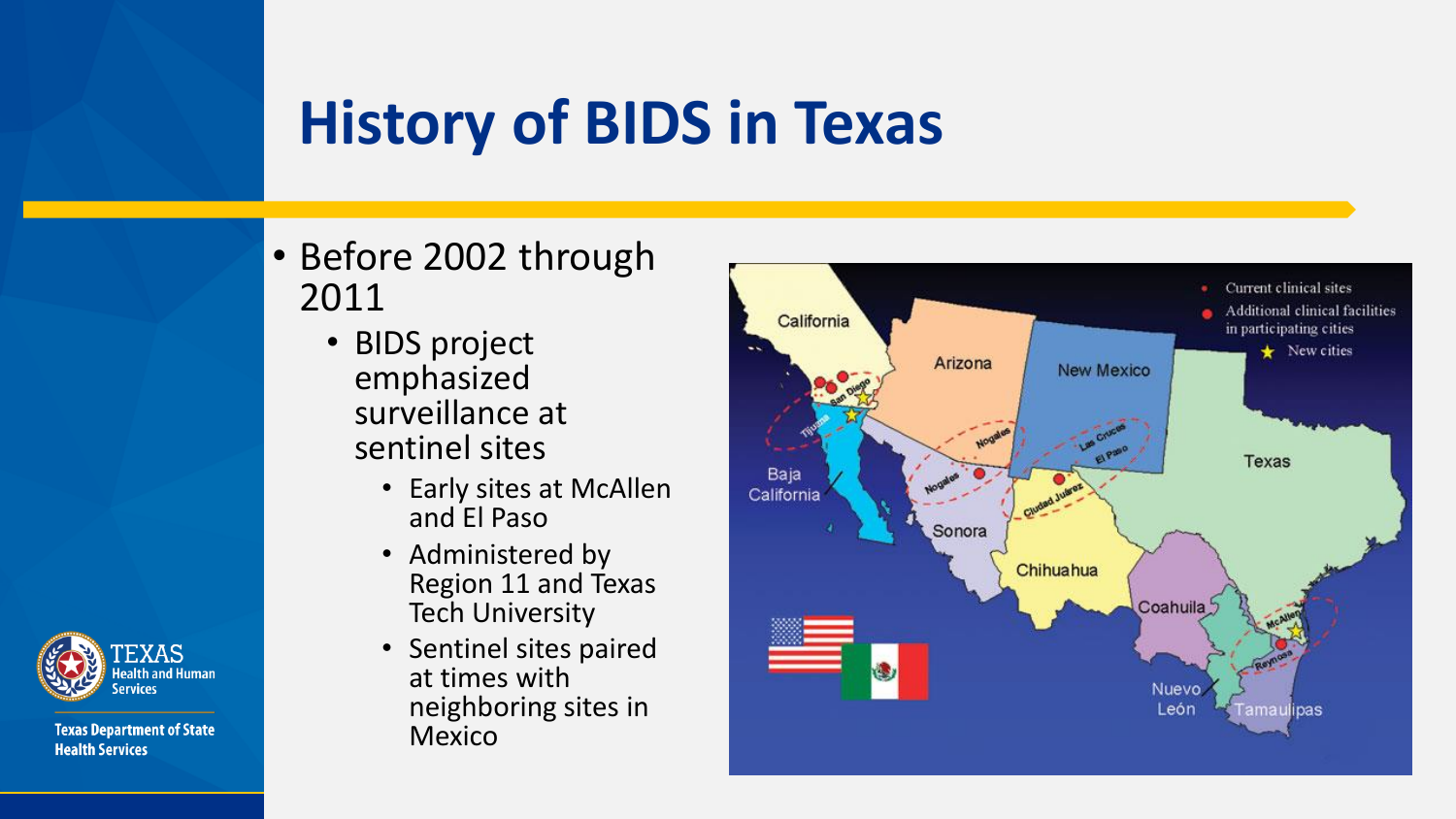- Before 2002 through 2011
	- BIDS project emphasized surveillance at sentinel sites
		- Early sites at McAllen and El Paso
		- Administered by Region 11 and Texas Tech University
		- Sentinel sites paired at times with neighboring sites in Mexico



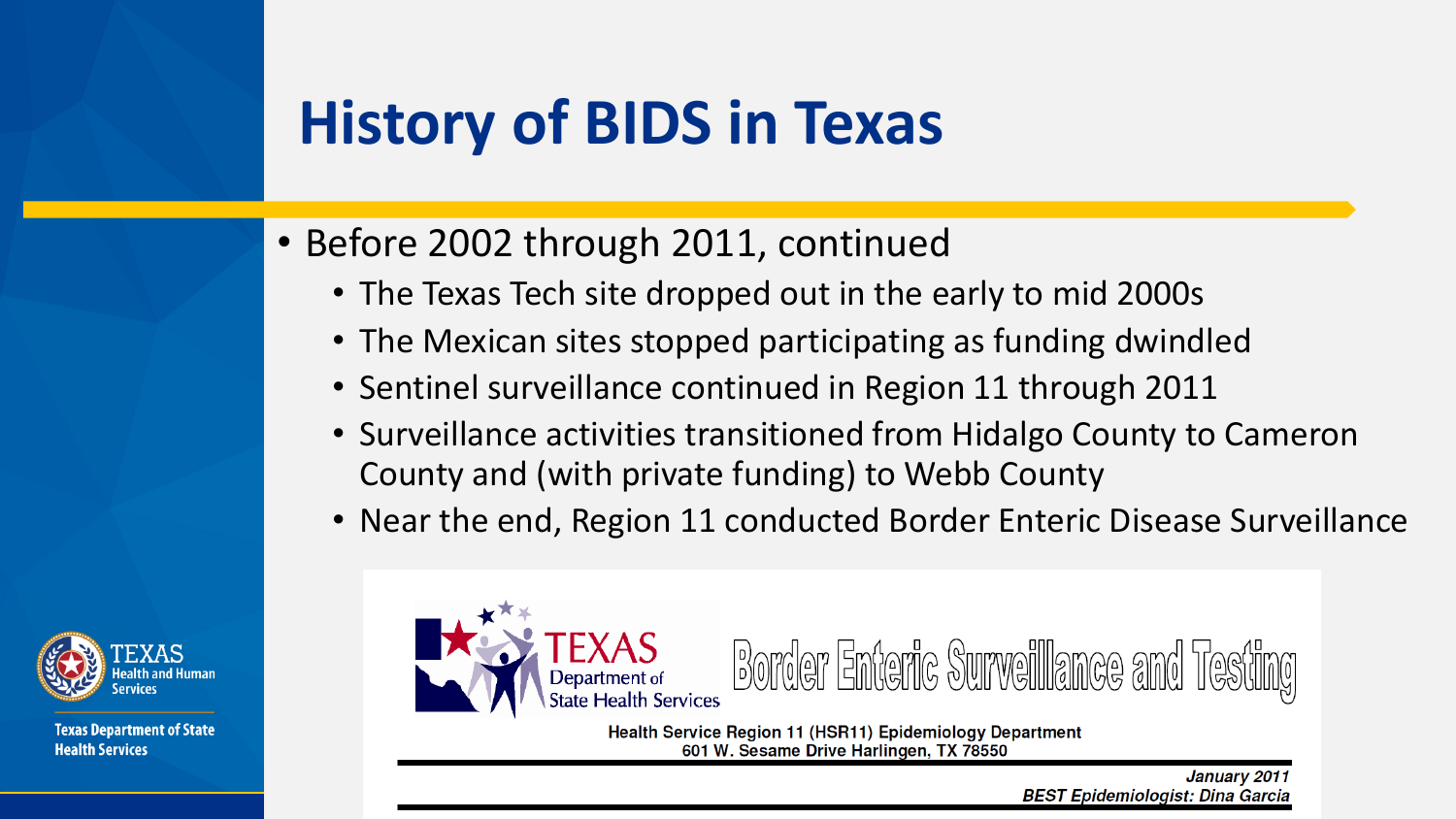- Before 2002 through 2011, continued
	- The Texas Tech site dropped out in the early to mid 2000s
	- The Mexican sites stopped participating as funding dwindled
	- Sentinel surveillance continued in Region 11 through 2011
	- Surveillance activities transitioned from Hidalgo County to Cameron County and (with private funding) to Webb County
	- Near the end, Region 11 conducted Border Enteric Disease Surveillance



**Texas Department of State Health Services** 



Health Service Region 11 (HSR11) Epidemiology Department 601 W. Sesame Drive Harlingen, TX 78550

> January 2011 **BEST Epidemiologist: Dina Garcia**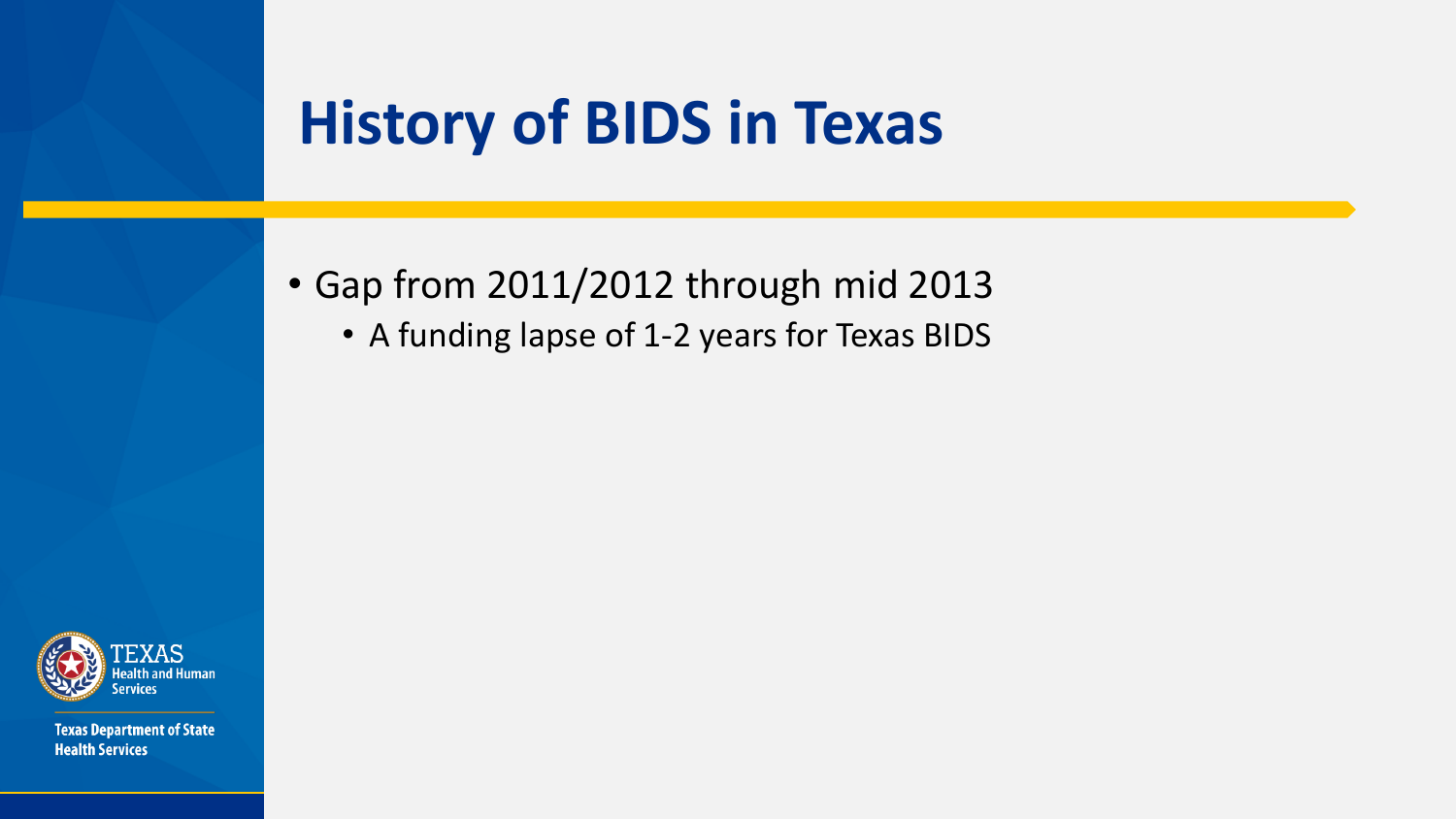- Gap from 2011/2012 through mid 2013
	- A funding lapse of 1-2 years for Texas BIDS

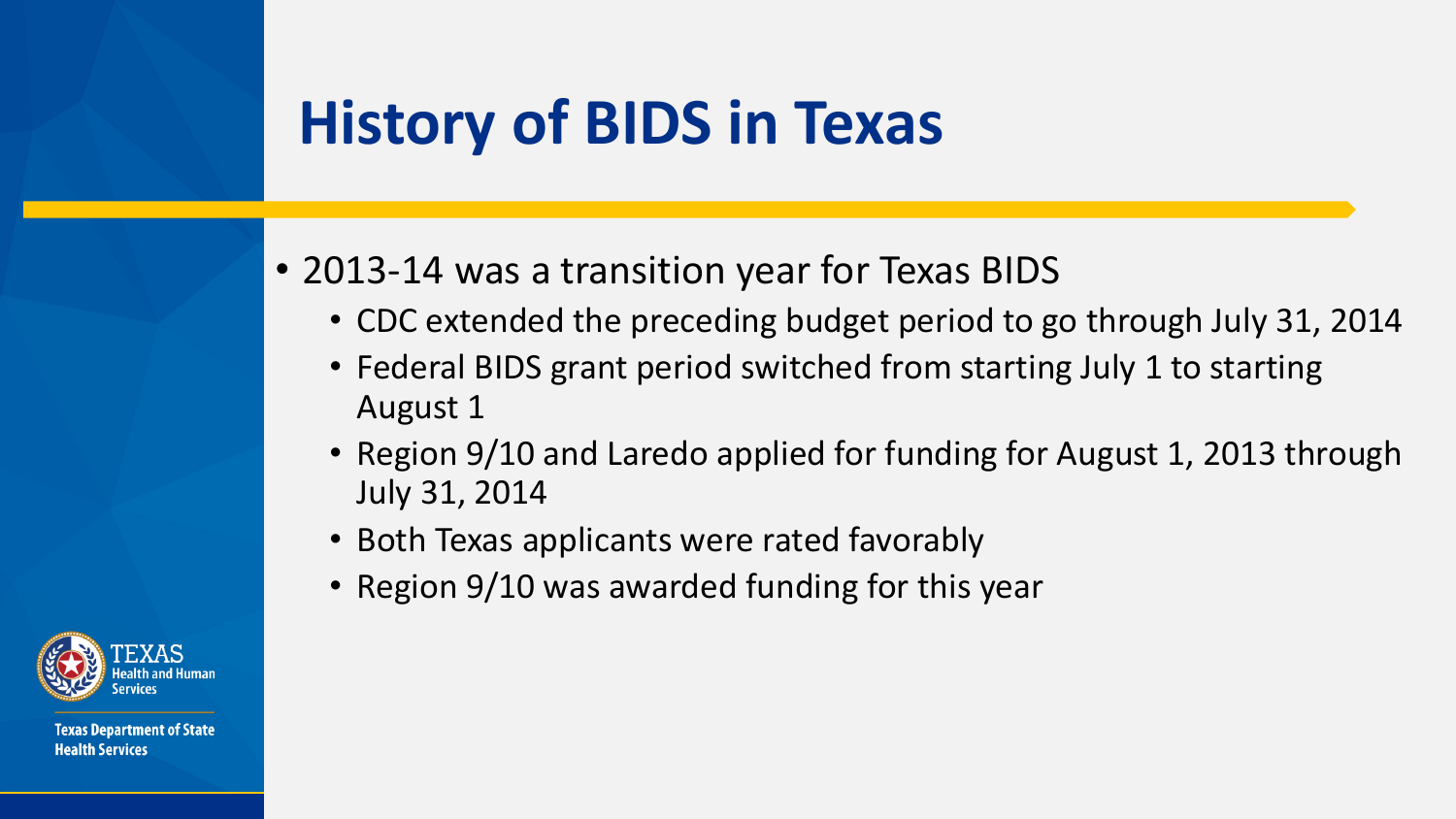- 2013-14 was a transition year for Texas BIDS
	- CDC extended the preceding budget period to go through July 31, 2014
	- Federal BIDS grant period switched from starting July 1 to starting August 1
	- Region 9/10 and Laredo applied for funding for August 1, 2013 through July 31, 2014
	- Both Texas applicants were rated favorably
	- Region 9/10 was awarded funding for this year

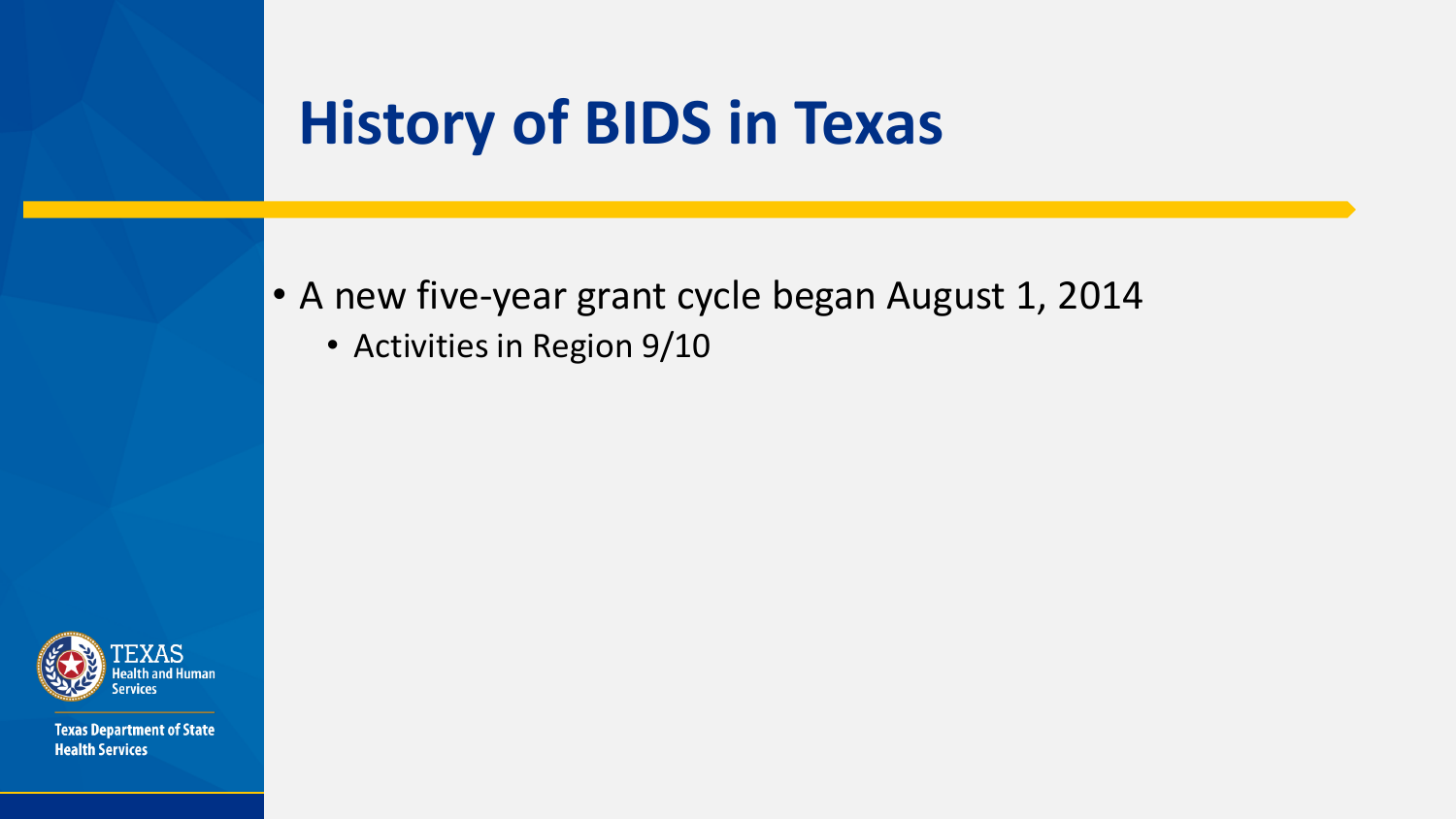- A new five-year grant cycle began August 1, 2014
	- Activities in Region 9/10

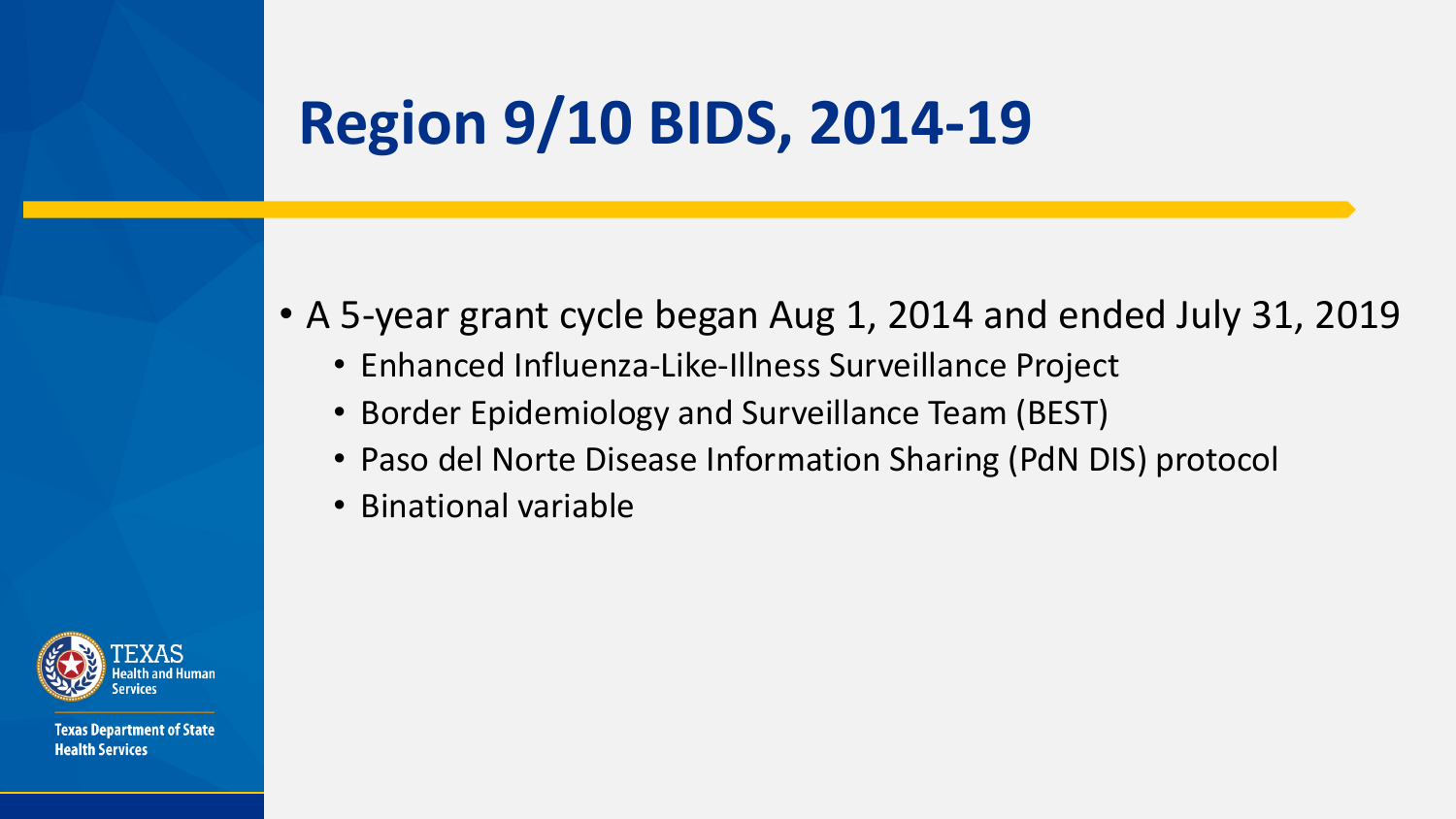## **Region 9/10 BIDS, 2014-19**

- A 5-year grant cycle began Aug 1, 2014 and ended July 31, 2019
	- Enhanced Influenza-Like-Illness Surveillance Project
	- Border Epidemiology and Surveillance Team (BEST)
	- Paso del Norte Disease Information Sharing (PdN DIS) protocol
	- Binational variable

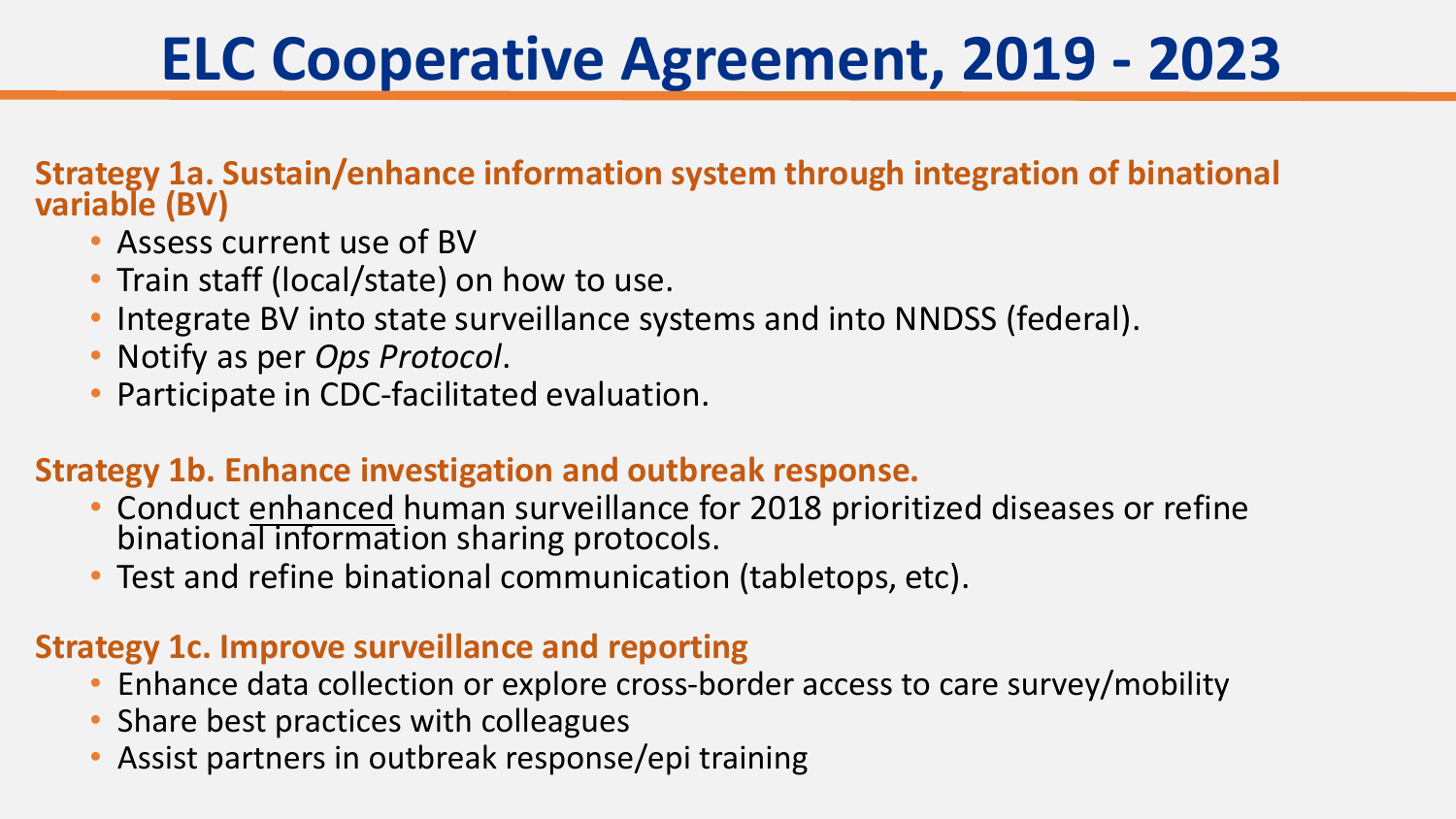## **ELC Cooperative Agreement, 2019 - 2023**

#### **Strategy 1a. Sustain/enhance information system through integration of binational variable (BV)**

- Assess current use of BV
- Train staff (local/state) on how to use.
- Integrate BV into state surveillance systems and into NNDSS (federal).
- Notify as per *Ops Protocol*.
- Participate in CDC-facilitated evaluation.

#### **Strategy 1b. Enhance investigation and outbreak response.**

- Conduct enhanced human surveillance for 2018 prioritized diseases or refine binational information sharing protocols.
- Test and refine binational communication (tabletops, etc).

#### **Strategy 1c. Improve surveillance and reporting**

- Enhance data collection or explore cross-border access to care survey/mobility
- Share best practices with colleagues
- Assist partners in outbreak response/epi training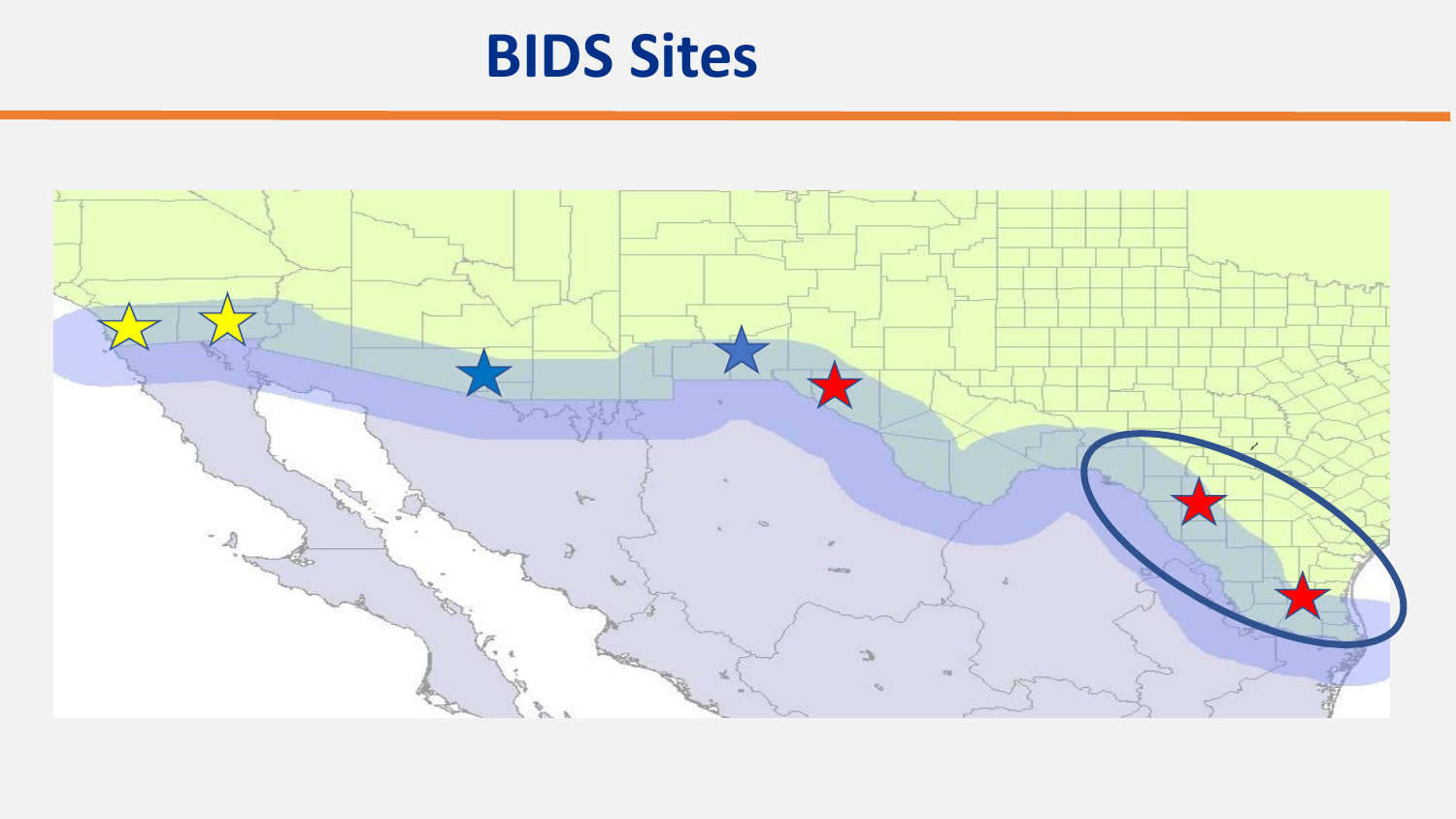## **BIDS Sites**

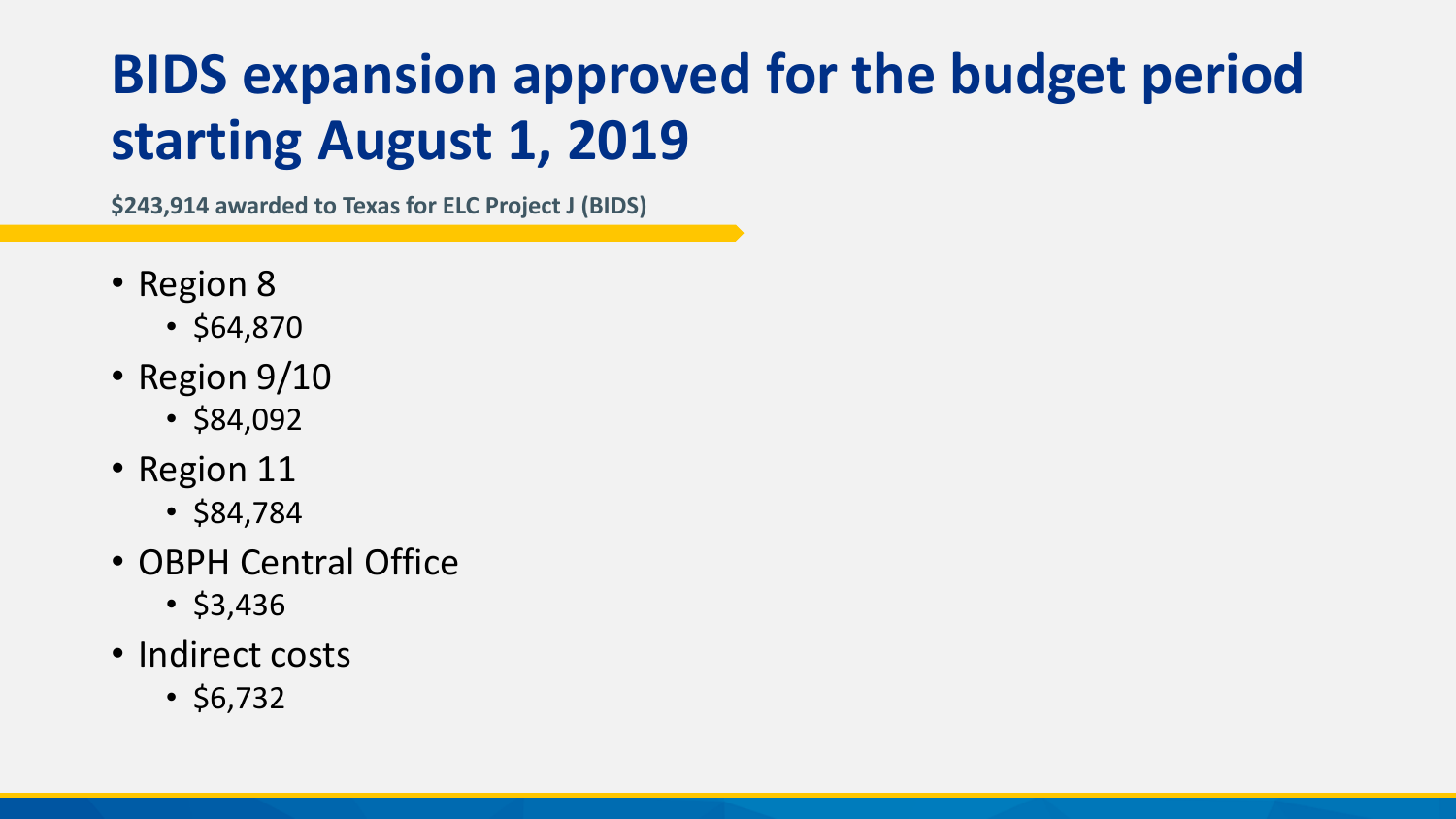## **BIDS expansion approved for the budget period starting August 1, 2019**

**\$243,914 awarded to Texas for ELC Project J (BIDS)**

- Region 8
	- \$64,870
- Region 9/10
	- \$84,092
- Region 11
	- \$84,784
- OBPH Central Office
	- $•$  \$3,436
- Indirect costs
	- $•$  \$6,732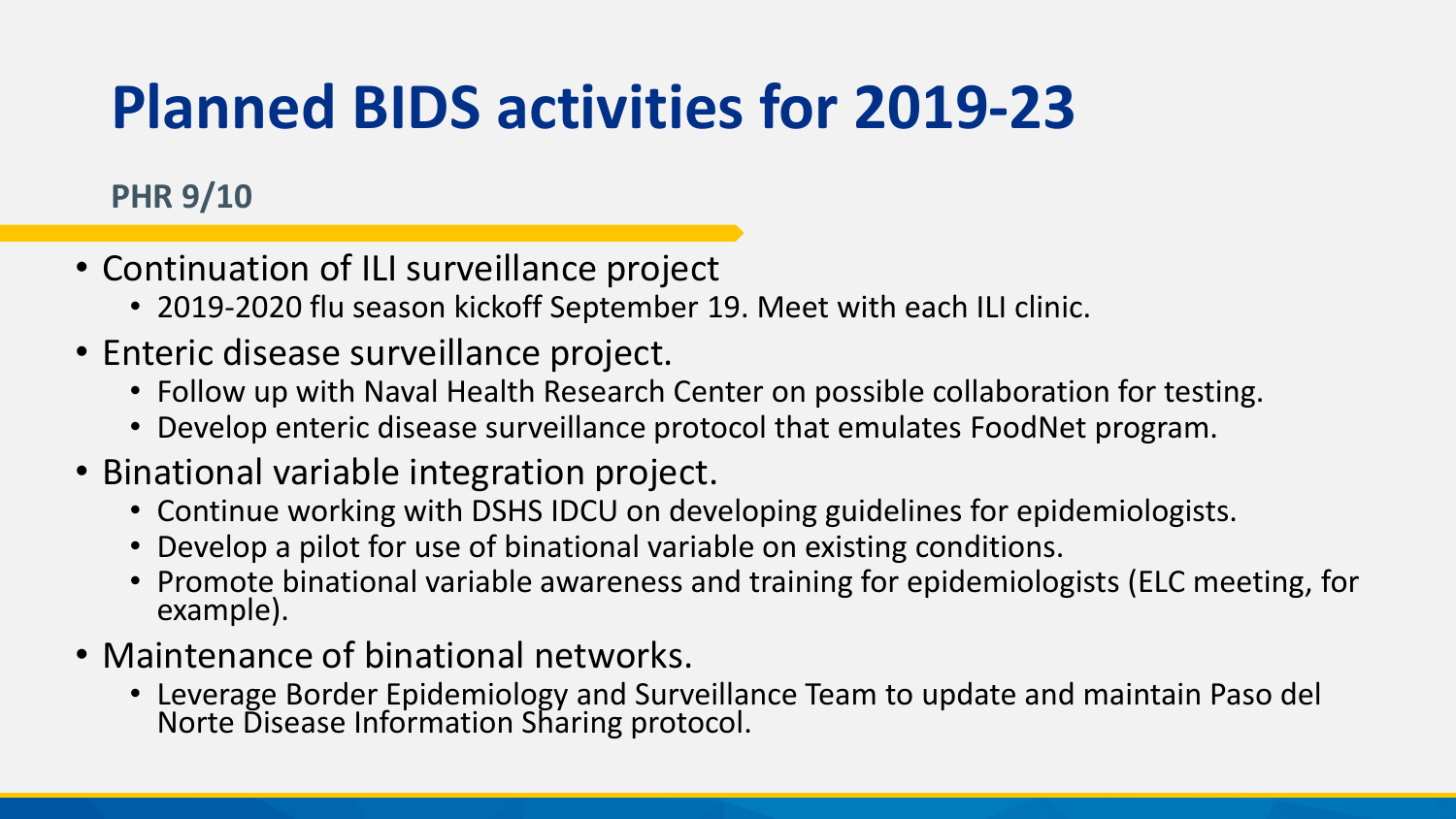## **Planned BIDS activities for 2019-23**

#### **PHR 9/10**

- Continuation of ILI surveillance project
	- 2019-2020 flu season kickoff September 19. Meet with each ILI clinic.
- Enteric disease surveillance project.
	- Follow up with Naval Health Research Center on possible collaboration for testing.
	- Develop enteric disease surveillance protocol that emulates FoodNet program.
- Binational variable integration project.
	- Continue working with DSHS IDCU on developing guidelines for epidemiologists.
	- Develop a pilot for use of binational variable on existing conditions.
	- Promote binational variable awareness and training for epidemiologists (ELC meeting, for example).
- Maintenance of binational networks.
	- Leverage Border Epidemiology and Surveillance Team to update and maintain Paso del Norte Disease Information Sharing protocol.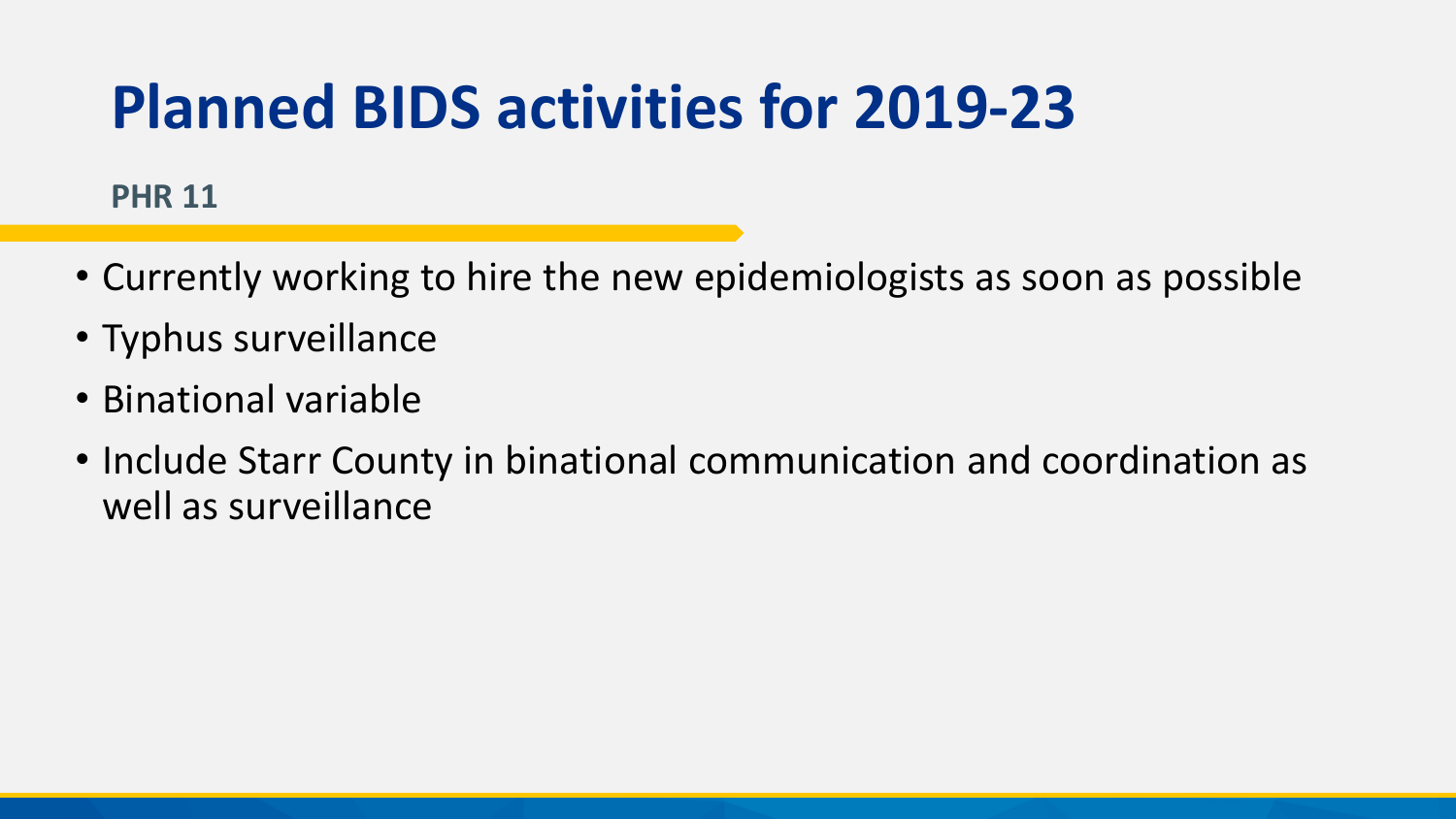## **Planned BIDS activities for 2019-23**

#### **PHR 11**

- Currently working to hire the new epidemiologists as soon as possible
- Typhus surveillance
- Binational variable
- Include Starr County in binational communication and coordination as well as surveillance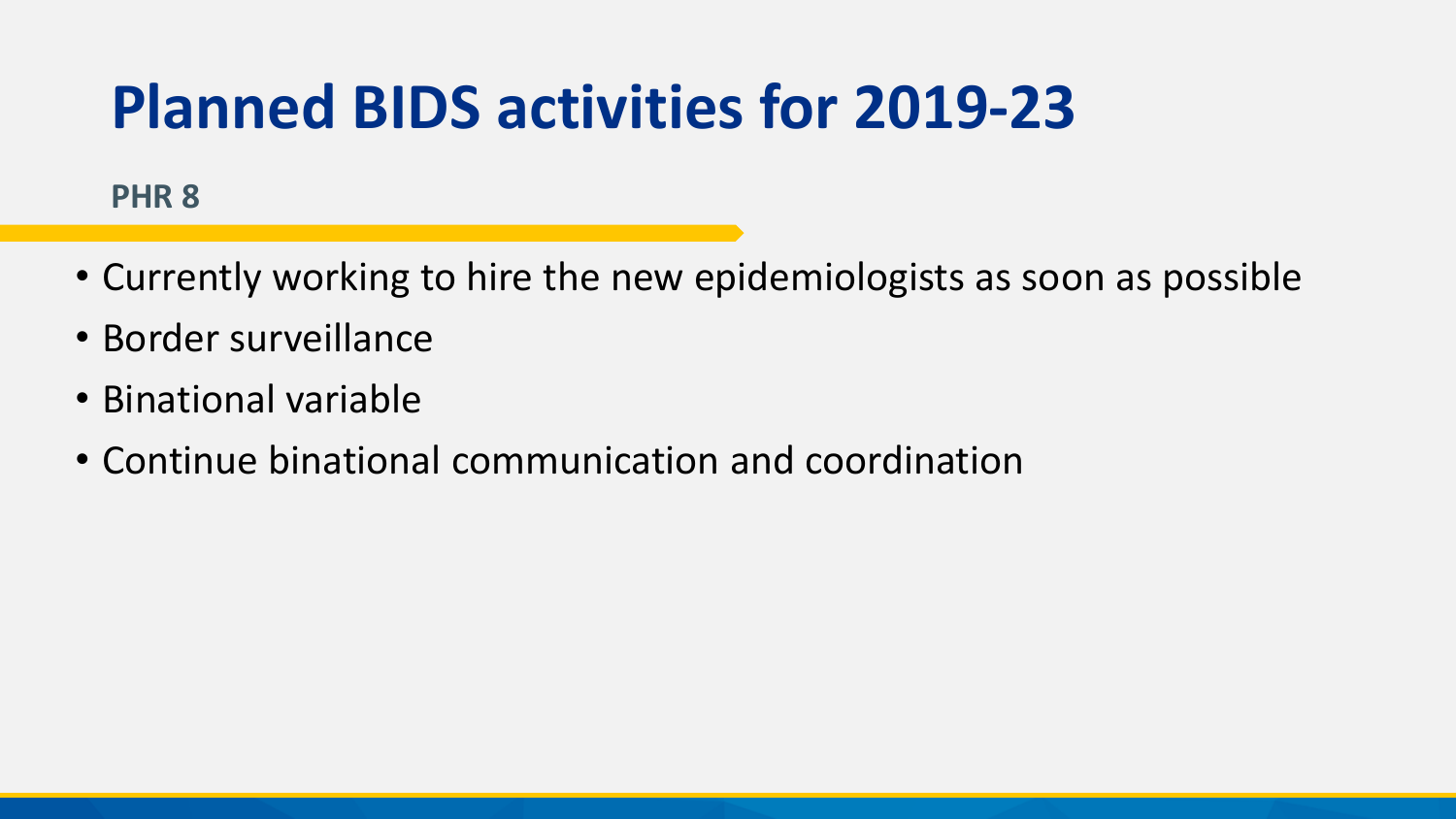## **Planned BIDS activities for 2019-23**

#### **PHR 8**

- Currently working to hire the new epidemiologists as soon as possible
- Border surveillance
- Binational variable
- Continue binational communication and coordination